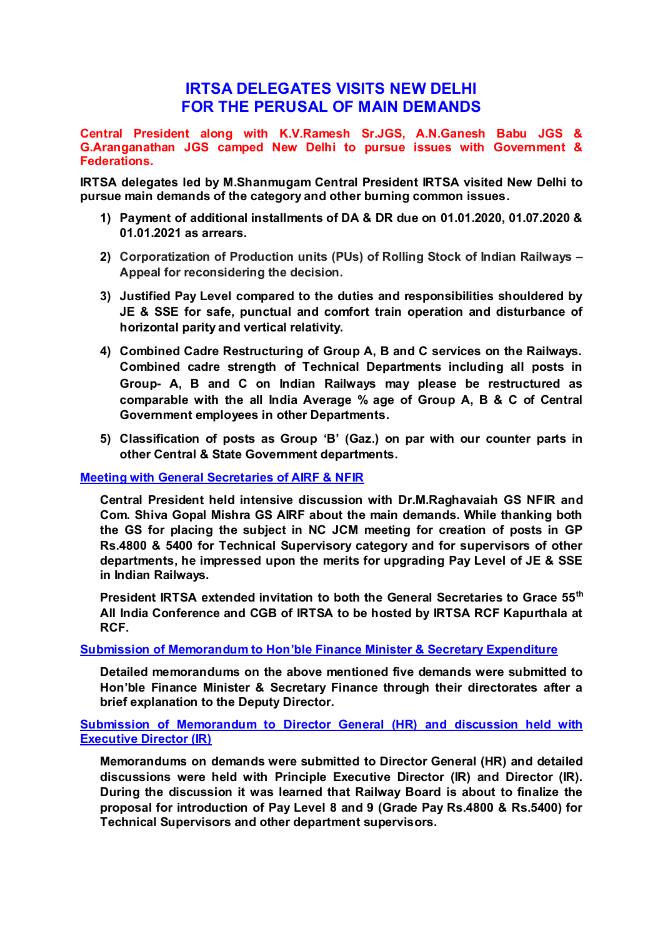## **IRTSA DELEGATES VISITS NEW DELHI FOR THE PERUSAL OF MAIN DEMANDS**

**Central President along with K.V.Ramesh Sr.JGS, A.N.Ganesh Babu JGS & G.Aranganathan JGS camped New Delhi to pursue issues with Government & Federations.** 

**IRTSA delegates led by M.Shanmugam Central President IRTSA visited New Delhi to pursue main demands of the category and other burning common issues.** 

- **1) Payment of additional installments of DA & DR due on 01.01.2020, 01.07.2020 & 01.01.2021 as arrears.**
- **2) Corporatization of Production units (PUs) of Rolling Stock of Indian Railways – Appeal for reconsidering the decision.**
- **3) Justified Pay Level compared to the duties and responsibilities shouldered by JE & SSE for safe, punctual and comfort train operation and disturbance of horizontal parity and vertical relativity.**
- **4) Combined Cadre Restructuring of Group A, B and C services on the Railways. Combined cadre strength of Technical Departments including all posts in Group- A, B and C on Indian Railways may please be restructured as comparable with the all India Average % age of Group A, B & C of Central Government employees in other Departments.**
- **5) Classification of posts as Group 'B' (Gaz.) on par with our counter parts in other Central & State Government departments.**

## **Meeting with General Secretaries of AIRF & NFIR**

**Central President held intensive discussion with Dr.M.Raghavaiah GS NFIR and Com. Shiva Gopal Mishra GS AIRF about the main demands. While thanking both the GS for placing the subject in NC JCM meeting for creation of posts in GP Rs.4800 & 5400 for Technical Supervisory category and for supervisors of other departments, he impressed upon the merits for upgrading Pay Level of JE & SSE in Indian Railways.** 

**President IRTSA extended invitation to both the General Secretaries to Grace 55th All India Conference and CGB of IRTSA to be hosted by IRTSA RCF Kapurthala at RCF.** 

## **Submission of Memorandum to Hon'ble Finance Minister & Secretary Expenditure**

**Detailed memorandums on the above mentioned five demands were submitted to Hon'ble Finance Minister & Secretary Finance through their directorates after a brief explanation to the Deputy Director.** 

**Submission of Memorandum to Director General (HR) and discussion held with Executive Director (IR)** 

**Memorandums on demands were submitted to Director General (HR) and detailed discussions were held with Principle Executive Director (IR) and Director (IR). During the discussion it was learned that Railway Board is about to finalize the proposal for introduction of Pay Level 8 and 9 (Grade Pay Rs.4800 & Rs.5400) for Technical Supervisors and other department supervisors.**